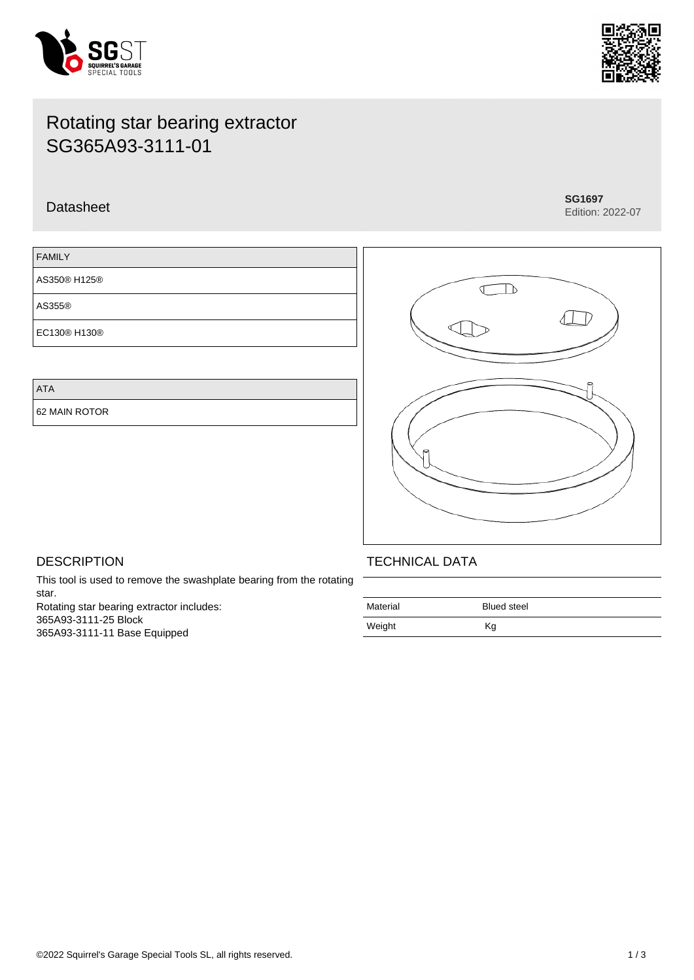



# Rotating star bearing extractor SG365A93-3111-01

## Datasheet **SG1697**

Edition: 2022-07

| <b>FAMILY</b> |  |
|---------------|--|
| AS350® H125®  |  |
| AS355®        |  |
| EC130® H130®  |  |

ATA

62 MAIN ROTOR



## **DESCRIPTION**

This tool is used to remove the swashplate bearing from the rotating star. Rotating star bearing extractor includes: 365A93-3111-25 Block 365A93-3111-11 Base Equipped

## TECHNICAL DATA

| Material | <b>Blued steel</b> |
|----------|--------------------|
| Weight   | Кg                 |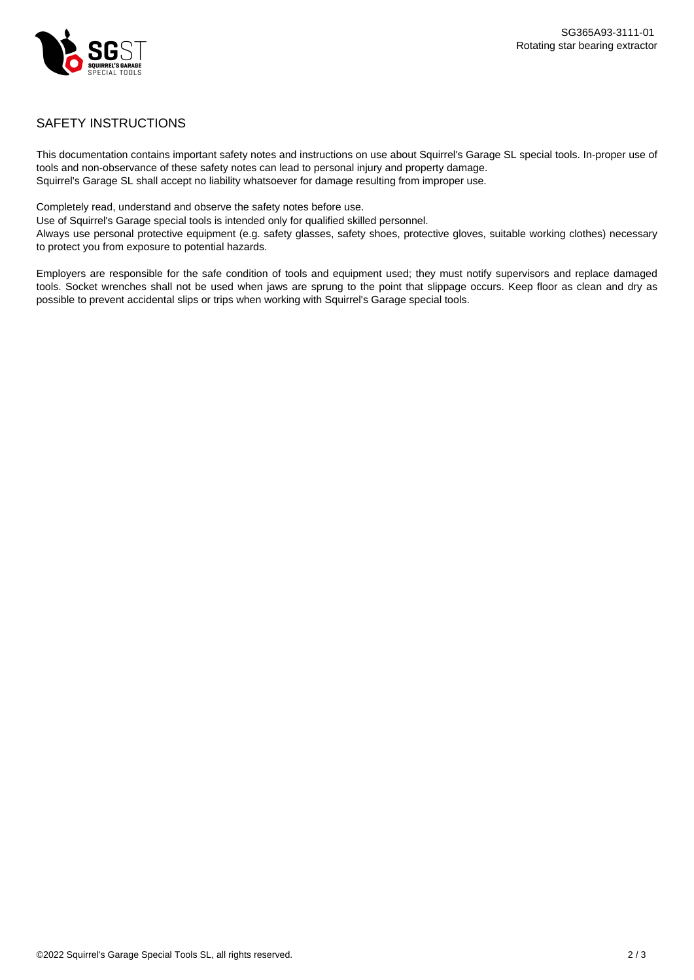

### SAFETY INSTRUCTIONS

This documentation contains important safety notes and instructions on use about Squirrel's Garage SL special tools. In-proper use of tools and non-observance of these safety notes can lead to personal injury and property damage. Squirrel's Garage SL shall accept no liability whatsoever for damage resulting from improper use.

Completely read, understand and observe the safety notes before use.

Use of Squirrel's Garage special tools is intended only for qualified skilled personnel.

Always use personal protective equipment (e.g. safety glasses, safety shoes, protective gloves, suitable working clothes) necessary to protect you from exposure to potential hazards.

Employers are responsible for the safe condition of tools and equipment used; they must notify supervisors and replace damaged tools. Socket wrenches shall not be used when jaws are sprung to the point that slippage occurs. Keep floor as clean and dry as possible to prevent accidental slips or trips when working with Squirrel's Garage special tools.